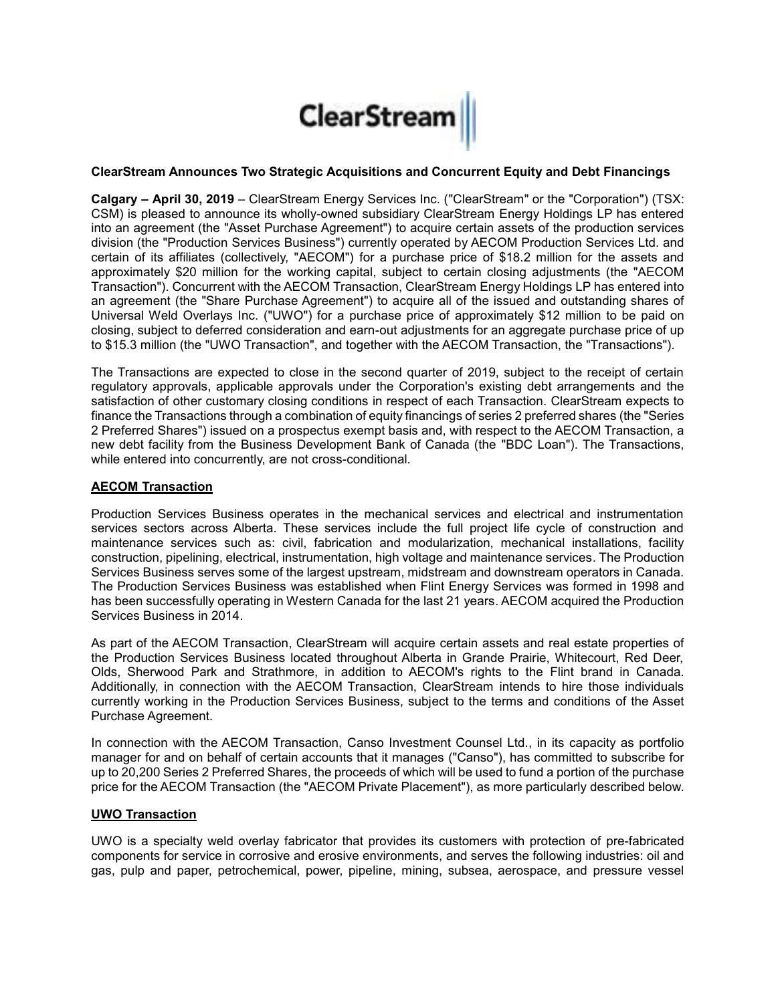

## **ClearStream Announces Two Strategic Acquisitions and Concurrent Equity and Debt Financings**

**Calgary – April 30, 2019** – ClearStream Energy Services Inc. ("ClearStream" or the "Corporation") (TSX: CSM) is pleased to announce its wholly-owned subsidiary ClearStream Energy Holdings LP has entered into an agreement (the "Asset Purchase Agreement") to acquire certain assets of the production services division (the "Production Services Business") currently operated by AECOM Production Services Ltd. and certain of its affiliates (collectively, "AECOM") for a purchase price of \$18.2 million for the assets and approximately \$20 million for the working capital, subject to certain closing adjustments (the "AECOM Transaction"). Concurrent with the AECOM Transaction, ClearStream Energy Holdings LP has entered into an agreement (the "Share Purchase Agreement") to acquire all of the issued and outstanding shares of Universal Weld Overlays Inc. ("UWO") for a purchase price of approximately \$12 million to be paid on closing, subject to deferred consideration and earn-out adjustments for an aggregate purchase price of up to \$15.3 million (the "UWO Transaction", and together with the AECOM Transaction, the "Transactions").

The Transactions are expected to close in the second quarter of 2019, subject to the receipt of certain regulatory approvals, applicable approvals under the Corporation's existing debt arrangements and the satisfaction of other customary closing conditions in respect of each Transaction. ClearStream expects to finance the Transactions through a combination of equity financings of series 2 preferred shares (the "Series 2 Preferred Shares") issued on a prospectus exempt basis and, with respect to the AECOM Transaction, a new debt facility from the Business Development Bank of Canada (the "BDC Loan"). The Transactions, while entered into concurrently, are not cross-conditional.

# **AECOM Transaction**

Production Services Business operates in the mechanical services and electrical and instrumentation services sectors across Alberta. These services include the full project life cycle of construction and maintenance services such as: civil, fabrication and modularization, mechanical installations, facility construction, pipelining, electrical, instrumentation, high voltage and maintenance services. The Production Services Business serves some of the largest upstream, midstream and downstream operators in Canada. The Production Services Business was established when Flint Energy Services was formed in 1998 and has been successfully operating in Western Canada for the last 21 years. AECOM acquired the Production Services Business in 2014.

As part of the AECOM Transaction, ClearStream will acquire certain assets and real estate properties of the Production Services Business located throughout Alberta in Grande Prairie, Whitecourt, Red Deer, Olds, Sherwood Park and Strathmore, in addition to AECOM's rights to the Flint brand in Canada. Additionally, in connection with the AECOM Transaction, ClearStream intends to hire those individuals currently working in the Production Services Business, subject to the terms and conditions of the Asset Purchase Agreement.

In connection with the AECOM Transaction, Canso Investment Counsel Ltd., in its capacity as portfolio manager for and on behalf of certain accounts that it manages ("Canso"), has committed to subscribe for up to 20,200 Series 2 Preferred Shares, the proceeds of which will be used to fund a portion of the purchase price for the AECOM Transaction (the "AECOM Private Placement"), as more particularly described below.

## **UWO Transaction**

UWO is a specialty weld overlay fabricator that provides its customers with protection of pre-fabricated components for service in corrosive and erosive environments, and serves the following industries: oil and gas, pulp and paper, petrochemical, power, pipeline, mining, subsea, aerospace, and pressure vessel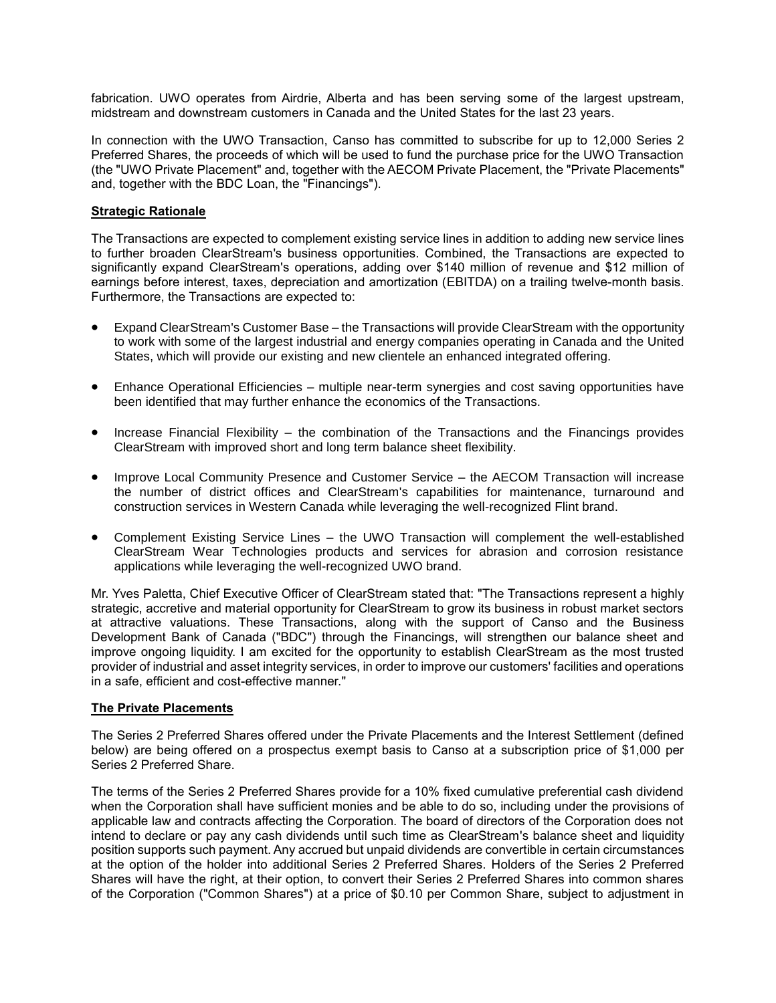fabrication. UWO operates from Airdrie, Alberta and has been serving some of the largest upstream, midstream and downstream customers in Canada and the United States for the last 23 years.

In connection with the UWO Transaction, Canso has committed to subscribe for up to 12,000 Series 2 Preferred Shares, the proceeds of which will be used to fund the purchase price for the UWO Transaction (the "UWO Private Placement" and, together with the AECOM Private Placement, the "Private Placements" and, together with the BDC Loan, the "Financings").

## **Strategic Rationale**

The Transactions are expected to complement existing service lines in addition to adding new service lines to further broaden ClearStream's business opportunities. Combined, the Transactions are expected to significantly expand ClearStream's operations, adding over \$140 million of revenue and \$12 million of earnings before interest, taxes, depreciation and amortization (EBITDA) on a trailing twelve-month basis. Furthermore, the Transactions are expected to:

- Expand ClearStream's Customer Base the Transactions will provide ClearStream with the opportunity to work with some of the largest industrial and energy companies operating in Canada and the United States, which will provide our existing and new clientele an enhanced integrated offering.
- Enhance Operational Efficiencies multiple near-term synergies and cost saving opportunities have been identified that may further enhance the economics of the Transactions.
- Increase Financial Flexibility the combination of the Transactions and the Financings provides ClearStream with improved short and long term balance sheet flexibility.
- Improve Local Community Presence and Customer Service the AECOM Transaction will increase the number of district offices and ClearStream's capabilities for maintenance, turnaround and construction services in Western Canada while leveraging the well-recognized Flint brand.
- Complement Existing Service Lines the UWO Transaction will complement the well-established ClearStream Wear Technologies products and services for abrasion and corrosion resistance applications while leveraging the well-recognized UWO brand.

Mr. Yves Paletta, Chief Executive Officer of ClearStream stated that: "The Transactions represent a highly strategic, accretive and material opportunity for ClearStream to grow its business in robust market sectors at attractive valuations. These Transactions, along with the support of Canso and the Business Development Bank of Canada ("BDC") through the Financings, will strengthen our balance sheet and improve ongoing liquidity. I am excited for the opportunity to establish ClearStream as the most trusted provider of industrial and asset integrity services, in order to improve our customers' facilities and operations in a safe, efficient and cost-effective manner."

#### **The Private Placements**

The Series 2 Preferred Shares offered under the Private Placements and the Interest Settlement (defined below) are being offered on a prospectus exempt basis to Canso at a subscription price of \$1,000 per Series 2 Preferred Share.

The terms of the Series 2 Preferred Shares provide for a 10% fixed cumulative preferential cash dividend when the Corporation shall have sufficient monies and be able to do so, including under the provisions of applicable law and contracts affecting the Corporation. The board of directors of the Corporation does not intend to declare or pay any cash dividends until such time as ClearStream's balance sheet and liquidity position supports such payment. Any accrued but unpaid dividends are convertible in certain circumstances at the option of the holder into additional Series 2 Preferred Shares. Holders of the Series 2 Preferred Shares will have the right, at their option, to convert their Series 2 Preferred Shares into common shares of the Corporation ("Common Shares") at a price of \$0.10 per Common Share, subject to adjustment in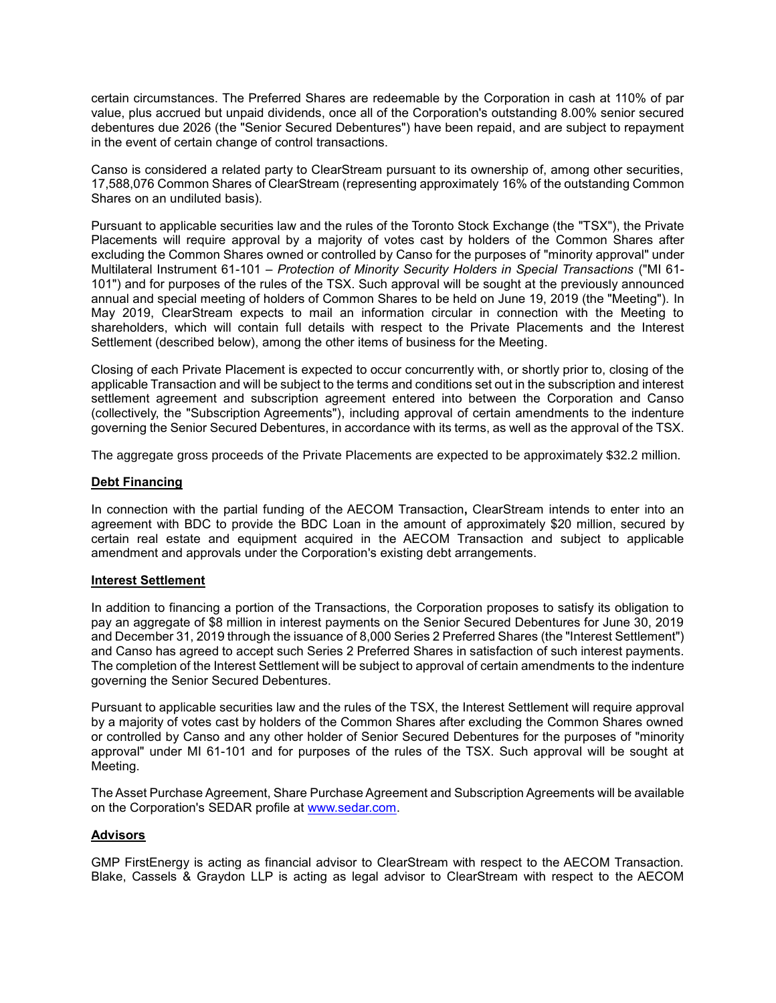certain circumstances. The Preferred Shares are redeemable by the Corporation in cash at 110% of par value, plus accrued but unpaid dividends, once all of the Corporation's outstanding 8.00% senior secured debentures due 2026 (the "Senior Secured Debentures") have been repaid, and are subject to repayment in the event of certain change of control transactions.

Canso is considered a related party to ClearStream pursuant to its ownership of, among other securities, 17,588,076 Common Shares of ClearStream (representing approximately 16% of the outstanding Common Shares on an undiluted basis).

Pursuant to applicable securities law and the rules of the Toronto Stock Exchange (the "TSX"), the Private Placements will require approval by a majority of votes cast by holders of the Common Shares after excluding the Common Shares owned or controlled by Canso for the purposes of "minority approval" under Multilateral Instrument 61-101 – *Protection of Minority Security Holders in Special Transactions* ("MI 61- 101") and for purposes of the rules of the TSX. Such approval will be sought at the previously announced annual and special meeting of holders of Common Shares to be held on June 19, 2019 (the "Meeting"). In May 2019, ClearStream expects to mail an information circular in connection with the Meeting to shareholders, which will contain full details with respect to the Private Placements and the Interest Settlement (described below), among the other items of business for the Meeting.

Closing of each Private Placement is expected to occur concurrently with, or shortly prior to, closing of the applicable Transaction and will be subject to the terms and conditions set out in the subscription and interest settlement agreement and subscription agreement entered into between the Corporation and Canso (collectively, the "Subscription Agreements"), including approval of certain amendments to the indenture governing the Senior Secured Debentures, in accordance with its terms, as well as the approval of the TSX.

The aggregate gross proceeds of the Private Placements are expected to be approximately \$32.2 million.

#### **Debt Financing**

In connection with the partial funding of the AECOM Transaction**,** ClearStream intends to enter into an agreement with BDC to provide the BDC Loan in the amount of approximately \$20 million, secured by certain real estate and equipment acquired in the AECOM Transaction and subject to applicable amendment and approvals under the Corporation's existing debt arrangements.

## **Interest Settlement**

In addition to financing a portion of the Transactions, the Corporation proposes to satisfy its obligation to pay an aggregate of \$8 million in interest payments on the Senior Secured Debentures for June 30, 2019 and December 31, 2019 through the issuance of 8,000 Series 2 Preferred Shares (the "Interest Settlement") and Canso has agreed to accept such Series 2 Preferred Shares in satisfaction of such interest payments. The completion of the Interest Settlement will be subject to approval of certain amendments to the indenture governing the Senior Secured Debentures.

Pursuant to applicable securities law and the rules of the TSX, the Interest Settlement will require approval by a majority of votes cast by holders of the Common Shares after excluding the Common Shares owned or controlled by Canso and any other holder of Senior Secured Debentures for the purposes of "minority approval" under MI 61-101 and for purposes of the rules of the TSX. Such approval will be sought at Meeting.

The Asset Purchase Agreement, Share Purchase Agreement and Subscription Agreements will be available on the Corporation's SEDAR profile at [www.sedar.com.](http://www.sedar.com/)

## **Advisors**

GMP FirstEnergy is acting as financial advisor to ClearStream with respect to the AECOM Transaction. Blake, Cassels & Graydon LLP is acting as legal advisor to ClearStream with respect to the AECOM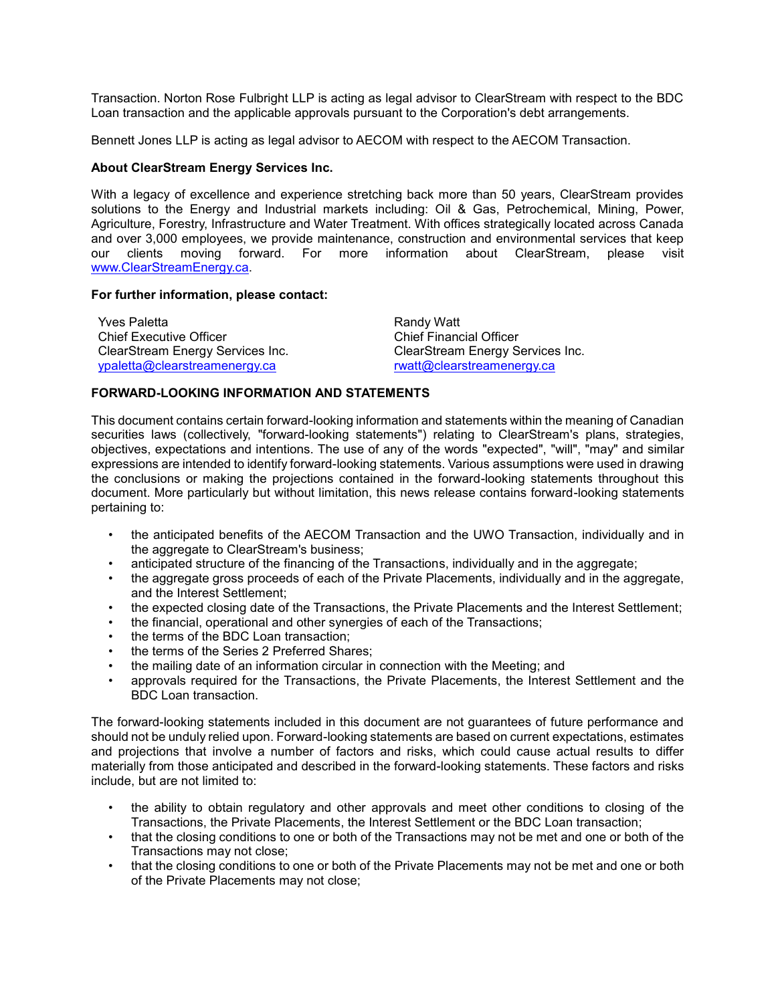Transaction. Norton Rose Fulbright LLP is acting as legal advisor to ClearStream with respect to the BDC Loan transaction and the applicable approvals pursuant to the Corporation's debt arrangements.

Bennett Jones LLP is acting as legal advisor to AECOM with respect to the AECOM Transaction.

# **About ClearStream Energy Services Inc.**

With a legacy of excellence and experience stretching back more than 50 years, ClearStream provides solutions to the Energy and Industrial markets including: Oil & Gas, Petrochemical, Mining, Power, Agriculture, Forestry, Infrastructure and Water Treatment. With offices strategically located across Canada and over 3,000 employees, we provide maintenance, construction and environmental services that keep our clients moving forward. For more information about ClearStream, please visit [www.ClearStreamEnergy.ca.](http://www.clearstreamenergy.ca/)

## **For further information, please contact:**

| <b>Yves Paletta</b>              | Randy Watt                       |
|----------------------------------|----------------------------------|
| <b>Chief Executive Officer</b>   | <b>Chief Financial Officer</b>   |
| ClearStream Energy Services Inc. | ClearStream Energy Services Inc. |
| ypaletta@clearstreamenergy.ca    | rwatt@clearstreamenergy.ca       |

# **FORWARD-LOOKING INFORMATION AND STATEMENTS**

This document contains certain forward-looking information and statements within the meaning of Canadian securities laws (collectively, "forward-looking statements") relating to ClearStream's plans, strategies, objectives, expectations and intentions. The use of any of the words "expected", "will", "may" and similar expressions are intended to identify forward-looking statements. Various assumptions were used in drawing the conclusions or making the projections contained in the forward-looking statements throughout this document. More particularly but without limitation, this news release contains forward-looking statements pertaining to:

- the anticipated benefits of the AECOM Transaction and the UWO Transaction, individually and in the aggregate to ClearStream's business;
- anticipated structure of the financing of the Transactions, individually and in the aggregate;
- the aggregate gross proceeds of each of the Private Placements, individually and in the aggregate, and the Interest Settlement;
- the expected closing date of the Transactions, the Private Placements and the Interest Settlement;
- the financial, operational and other synergies of each of the Transactions;
- the terms of the BDC Loan transaction;
- the terms of the Series 2 Preferred Shares:
- the mailing date of an information circular in connection with the Meeting; and
- approvals required for the Transactions, the Private Placements, the Interest Settlement and the BDC Loan transaction.

The forward-looking statements included in this document are not guarantees of future performance and should not be unduly relied upon. Forward-looking statements are based on current expectations, estimates and projections that involve a number of factors and risks, which could cause actual results to differ materially from those anticipated and described in the forward-looking statements. These factors and risks include, but are not limited to:

- the ability to obtain regulatory and other approvals and meet other conditions to closing of the Transactions, the Private Placements, the Interest Settlement or the BDC Loan transaction;
- that the closing conditions to one or both of the Transactions may not be met and one or both of the Transactions may not close;
- that the closing conditions to one or both of the Private Placements may not be met and one or both of the Private Placements may not close;